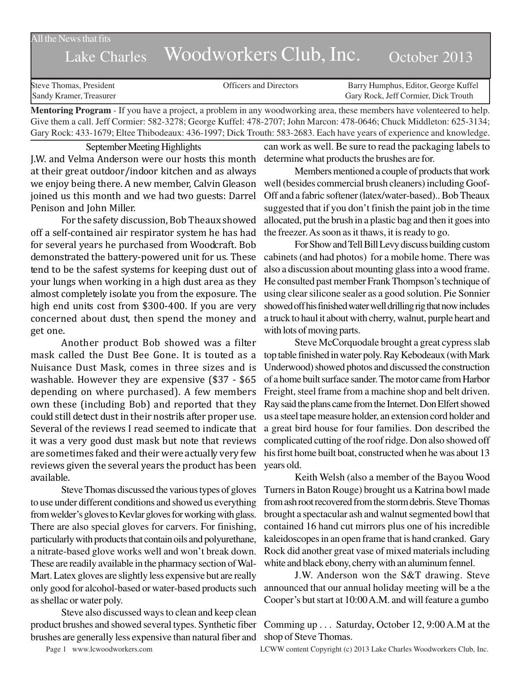All the News that fits

## Lake Charles Woodworkers Club, Inc. October 2013

Steve Thomas, President **State Concrete Concrete Concrete Concrete Concrete Concrete Concrete Concrete Concrete Concrete Concrete Concrete Concrete Concrete Concrete Concrete Concrete Concrete Concrete Concrete Concrete Co** Sandy Kramer, Treasurer Gary Rock, Jeff Cormier, Dick Trouth

**Mentoring Program** - If you have a project, a problem in any woodworking area, these members have volenteered to help. Give them a call. Jeff Cormier: 582-3278; George Kuffel: 478-2707; John Marcon: 478-0646; Chuck Middleton: 625-3134; Gary Rock: 433-1679; Eltee Thibodeaux: 436-1997; Dick Trouth: 583-2683. Each have years of experience and knowledge.

September Meeting Highlights

J.W. and Velma Anderson were our hosts this month at their great outdoor/indoor kitchen and as always we enjoy being there. A new member, Calvin Gleason joined us this month and we had two guests: Darrel Penison and John Miller.

For the safety discussion, Bob Theaux showed off a self-contained air respirator system he has had for several years he purchased from Woodcraft. Bob demonstrated the battery-powered unit for us. These tend to be the safest systems for keeping dust out of your lungs when working in a high dust area as they almost completely isolate you from the exposure. The high end units cost from \$300-400. If you are very concerned about dust, then spend the money and get one.

Another product Bob showed was a filter mask called the Dust Bee Gone. It is touted as a Nuisance Dust Mask, comes in three sizes and is washable. However they are expensive (\$37 - \$65 depending on where purchased). A few members own these (including Bob) and reported that they could still detect dust in their nostrils after proper use. Several of the reviews I read seemed to indicate that it was a very good dust mask but note that reviews are sometimes faked and their were actually very few reviews given the several years the product has been available.

Steve Thomas discussed the various types of gloves to use under different conditions and showed us everything from welder's gloves to Kevlar gloves for working with glass. There are also special gloves for carvers. For finishing, particularly with products that contain oils and polyurethane, a nitrate-based glove works well and won't break down. These are readily available in the pharmacy section of Wal-Mart. Latex gloves are slightly less expensive but are really only good for alcohol-based or water-based products such as shellac or water poly.

Steve also discussed ways to clean and keep clean product brushes and showed several types. Synthetic fiber brushes are generally less expensive than natural fiber and

can work as well. Be sure to read the packaging labels to determine what products the brushes are for.

Members mentioned a couple of products that work well (besides commercial brush cleaners) including Goof-Off and a fabric softener (latex/water-based).. Bob Theaux suggested that if you don't finish the paint job in the time allocated, put the brush in a plastic bag and then it goes into the freezer. As soon as it thaws, it is ready to go.

For Show and Tell Bill Levy discuss building custom cabinets (and had photos) for a mobile home. There was also a discussion about mounting glass into a wood frame. He consulted past member Frank Thompson's technique of using clear silicone sealer as a good solution. Pie Sonnier showed off his finished water well drilling rig that now includes a truck to haul it about with cherry, walnut, purple heart and with lots of moving parts.

Steve McCorquodale brought a great cypress slab top table finished in water poly. Ray Kebodeaux (with Mark Underwood) showed photos and discussed the construction of a home built surface sander. The motor came from Harbor Freight, steel frame from a machine shop and belt driven. Ray said the plans came from the Internet. Don Elfert showed us a steel tape measure holder, an extension cord holder and a great bird house for four families. Don described the complicated cutting of the roof ridge. Don also showed off his first home built boat, constructed when he was about 13 years old.

Keith Welsh (also a member of the Bayou Wood Turners in Baton Rouge) brought us a Katrina bowl made from ash root recovered from the storm debris. Steve Thomas brought a spectacular ash and walnut segmented bowl that contained 16 hand cut mirrors plus one of his incredible kaleidoscopes in an open frame that is hand cranked. Gary Rock did another great vase of mixed materials including white and black ebony, cherry with an aluminum fennel.

J.W. Anderson won the S&T drawing. Steve announced that our annual holiday meeting will be a the Cooper's but start at 10:00 A.M. and will feature a gumbo

Comming up . . . Saturday, October 12, 9:00 A.M at the shop of Steve Thomas.

Page 1 www.lcwoodworkers.com LCWW content Copyright (c) 2013 Lake Charles Woodworkers Club, Inc.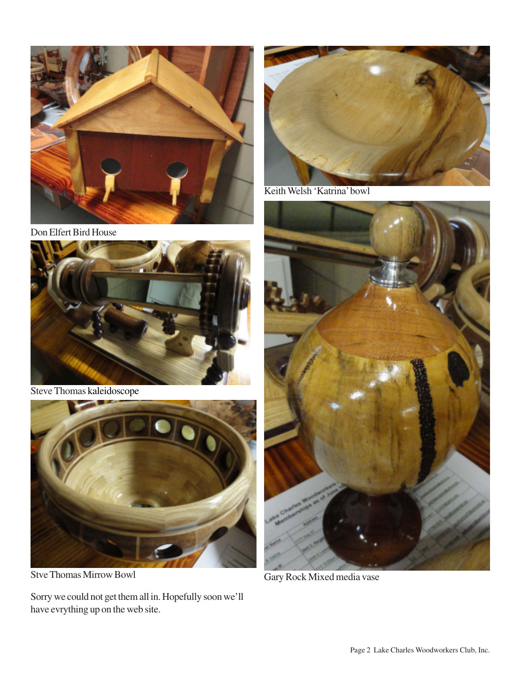

Don Elfert Bird House



Steve Thomas kaleidoscope



Stve Thomas Mirrow Bowl

Sorry we could not get them all in. Hopefully soon we'll have evrything up on the web site.



Keith Welsh 'Katrina' bowl



Gary Rock Mixed media vase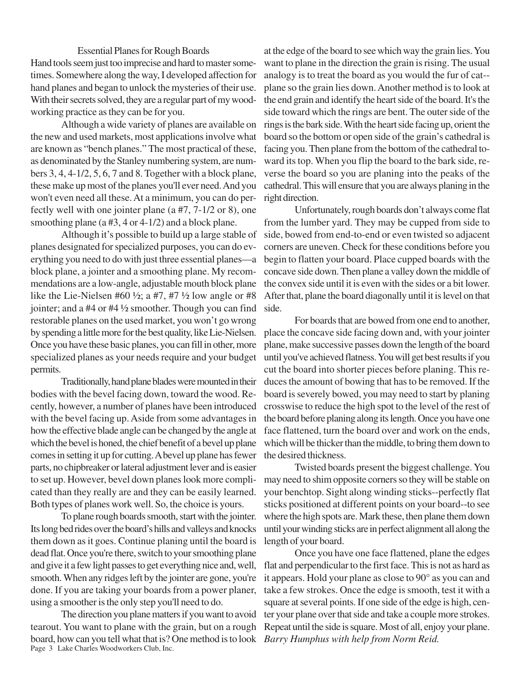## Essential Planes for Rough Boards

Hand tools seem just too imprecise and hard to master sometimes. Somewhere along the way, I developed affection for hand planes and began to unlock the mysteries of their use. With their secrets solved, they are a regular part of my woodworking practice as they can be for you.

Although a wide variety of planes are available on the new and used markets, most applications involve what are known as "bench planes." The most practical of these, as denominated by the Stanley numbering system, are numbers 3, 4, 4-1/2, 5, 6, 7 and 8. Together with a block plane, these make up most of the planes you'll ever need. And you won't even need all these. At a minimum, you can do perfectly well with one jointer plane (a #7, 7-1/2 or 8), one smoothing plane (a #3, 4 or 4-1/2) and a block plane.

Although it's possible to build up a large stable of planes designated for specialized purposes, you can do everything you need to do with just three essential planes—a block plane, a jointer and a smoothing plane. My recommendations are a low-angle, adjustable mouth block plane like the Lie-Nielsen #60  $\frac{1}{2}$ ; a #7, #7  $\frac{1}{2}$  low angle or #8 jointer; and a #4 or #4 ½ smoother. Though you can find restorable planes on the used market, you won't go wrong by spending a little more for the best quality, like Lie-Nielsen. Once you have these basic planes, you can fill in other, more specialized planes as your needs require and your budget permits.

Traditionally, hand plane blades were mounted in their bodies with the bevel facing down, toward the wood. Recently, however, a number of planes have been introduced with the bevel facing up. Aside from some advantages in how the effective blade angle can be changed by the angle at which the bevel is honed, the chief benefit of a bevel up plane comes in setting it up for cutting. A bevel up plane has fewer parts, no chipbreaker or lateral adjustment lever and is easier to set up. However, bevel down planes look more complicated than they really are and they can be easily learned. Both types of planes work well. So, the choice is yours.

To plane rough boards smooth, start with the jointer. Its long bed rides over the board's hills and valleys and knocks them down as it goes. Continue planing until the board is dead flat. Once you're there, switch to your smoothing plane and give it a few light passes to get everything nice and, well, smooth. When any ridges left by the jointer are gone, you're done. If you are taking your boards from a power planer, using a smoother is the only step you'll need to do.

Page 3 Lake Charles Woodworkers Club, Inc. The direction you plane matters if you want to avoid tearout. You want to plane with the grain, but on a rough board, how can you tell what that is? One method is to look *Barry Humphus with help from Norm Reid.*

at the edge of the board to see which way the grain lies. You want to plane in the direction the grain is rising. The usual analogy is to treat the board as you would the fur of cat- plane so the grain lies down. Another method is to look at the end grain and identify the heart side of the board. It's the side toward which the rings are bent. The outer side of the rings is the bark side. With the heart side facing up, orient the board so the bottom or open side of the grain's cathedral is facing you. Then plane from the bottom of the cathedral toward its top. When you flip the board to the bark side, reverse the board so you are planing into the peaks of the cathedral. This will ensure that you are always planing in the right direction.

Unfortunately, rough boards don't always come flat from the lumber yard. They may be cupped from side to side, bowed from end-to-end or even twisted so adjacent corners are uneven. Check for these conditions before you begin to flatten your board. Place cupped boards with the concave side down. Then plane a valley down the middle of the convex side until it is even with the sides or a bit lower. After that, plane the board diagonally until it is level on that side.

For boards that are bowed from one end to another, place the concave side facing down and, with your jointer plane, make successive passes down the length of the board until you've achieved flatness. You will get best results if you cut the board into shorter pieces before planing. This reduces the amount of bowing that has to be removed. If the board is severely bowed, you may need to start by planing crosswise to reduce the high spot to the level of the rest of the board before planing along its length. Once you have one face flattened, turn the board over and work on the ends, which will be thicker than the middle, to bring them down to the desired thickness.

Twisted boards present the biggest challenge. You may need to shim opposite corners so they will be stable on your benchtop. Sight along winding sticks--perfectly flat sticks positioned at different points on your board--to see where the high spots are. Mark these, then plane them down until your winding sticks are in perfect alignment all along the length of your board.

Once you have one face flattened, plane the edges flat and perpendicular to the first face. This is not as hard as it appears. Hold your plane as close to 90° as you can and take a few strokes. Once the edge is smooth, test it with a square at several points. If one side of the edge is high, center your plane over that side and take a couple more strokes. Repeat until the side is square. Most of all, enjoy your plane.